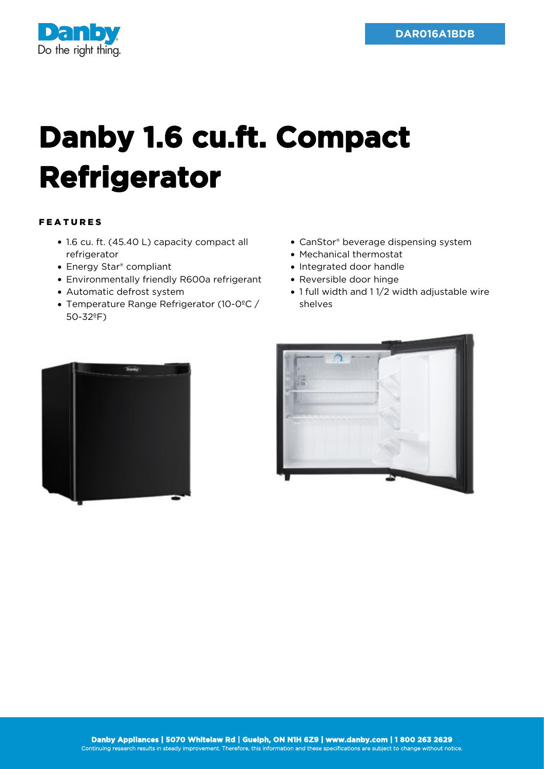

## **Danby 1.6 cu.ft. Compact Refrigerator**

## FEATURES

- 1.6 cu. ft. (45.40 L) capacity compact all refrigerator
- Energy Star® compliant
- Environmentally friendly R600a refrigerant
- Automatic defrost system
- Temperature Range Refrigerator (10-0ºC / 50-32ºF)
- CanStor® beverage dispensing system
- Mechanical thermostat
- Integrated door handle
- Reversible door hinge
- 1 full width and 1 1/2 width adjustable wire shelves